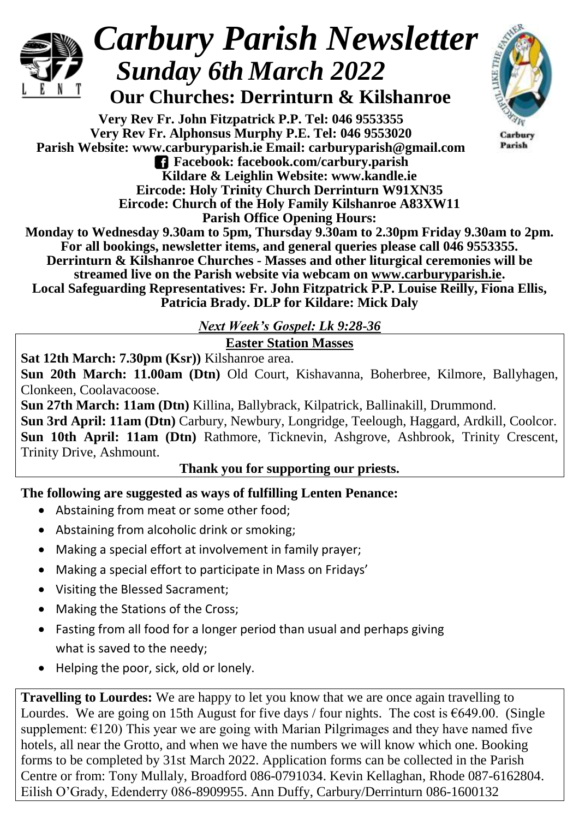

# *Carbury Parish Newsletter Sunday 6th March 2022*

# **Our Churches: Derrinturn & Kilshanroe**

**Very Rev Fr. John Fitzpatrick P.P. Tel: 046 9553355 Very Rev Fr. Alphonsus Murphy P.E. Tel: 046 9553020 Parish Website: www.carburyparish.ie Email: carburyparish@gmail.com Facebook: facebook.com/carbury.parish Kildare & Leighlin Website: www.kandle.ie Eircode: Holy Trinity Church Derrinturn W91XN35 Eircode: Church of the Holy Family Kilshanroe A83XW11**



Carbury Parish

**Parish Office Opening Hours: Monday to Wednesday 9.30am to 5pm, Thursday 9.30am to 2.30pm Friday 9.30am to 2pm. For all bookings, newsletter items, and general queries please call 046 9553355. Derrinturn & Kilshanroe Churches - Masses and other liturgical ceremonies will be streamed live on the Parish website via webcam on [www.carburyparish.ie.](http://www.carburyparish.ie/) Local Safeguarding Representatives: Fr. John Fitzpatrick P.P. Louise Reilly, Fiona Ellis, Patricia Brady. DLP for Kildare: Mick Daly**

*Next Week's Gospel: Lk 9:28-36*

**Easter Station Masses**

**Sat 12th March: 7.30pm (Ksr))** Kilshanroe area.

**Sun 20th March: 11.00am (Dtn)** Old Court, Kishavanna, Boherbree, Kilmore, Ballyhagen, Clonkeen, Coolavacoose.

**Sun 27th March: 11am (Dtn)** Killina, Ballybrack, Kilpatrick, Ballinakill, Drummond. **Sun 3rd April: 11am (Dtn)** Carbury, Newbury, Longridge, Teelough, Haggard, Ardkill, Coolcor. **Sun 10th April: 11am (Dtn)** Rathmore, Ticknevin, Ashgrove, Ashbrook, Trinity Crescent, Trinity Drive, Ashmount.

#### **Thank you for supporting our priests.**

## **The following are suggested as ways of fulfilling Lenten Penance:**

- Abstaining from meat or some other food;
- Abstaining from alcoholic drink or smoking;
- Making a special effort at involvement in family prayer;
- Making a special effort to participate in Mass on Fridays'
- Visiting the Blessed Sacrament;
- Making the Stations of the Cross;
- Fasting from all food for a longer period than usual and perhaps giving what is saved to the needy;
- Helping the poor, sick, old or lonely.

**Travelling to Lourdes:** We are happy to let you know that we are once again travelling to Lourdes. We are going on 15th August for five days / four nights. The cost is  $\epsilon$ 649.00. (Single supplement:  $\epsilon$ 120) This year we are going with Marian Pilgrimages and they have named five hotels, all near the Grotto, and when we have the numbers we will know which one. Booking forms to be completed by 31st March 2022. Application forms can be collected in the Parish Centre or from: Tony Mullaly, Broadford 086-0791034. Kevin Kellaghan, Rhode 087-6162804. Eilish O'Grady, Edenderry 086-8909955. Ann Duffy, Carbury/Derrinturn 086-1600132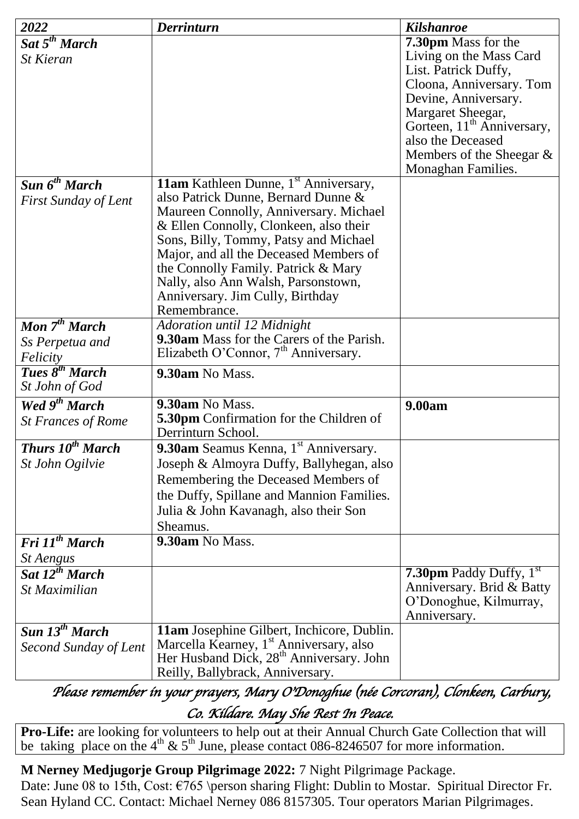| 2022                               | <b>Derrinturn</b>                                                                                           | <b>Kilshanroe</b>                      |
|------------------------------------|-------------------------------------------------------------------------------------------------------------|----------------------------------------|
| Sat 5 <sup>th</sup> March          |                                                                                                             | 7.30pm Mass for the                    |
| <b>St Kieran</b>                   |                                                                                                             | Living on the Mass Card                |
|                                    |                                                                                                             | List. Patrick Duffy,                   |
|                                    |                                                                                                             | Cloona, Anniversary. Tom               |
|                                    |                                                                                                             | Devine, Anniversary.                   |
|                                    |                                                                                                             | Margaret Sheegar,                      |
|                                    |                                                                                                             | Gorteen, 11 <sup>th</sup> Anniversary, |
|                                    |                                                                                                             | also the Deceased                      |
|                                    |                                                                                                             | Members of the Sheegar $\&$            |
|                                    |                                                                                                             | Monaghan Families.                     |
| Sun 6 <sup>th</sup> March          | <b>11am</b> Kathleen Dunne, 1 <sup>st</sup> Anniversary,                                                    |                                        |
| <b>First Sunday of Lent</b>        | also Patrick Dunne, Bernard Dunne &                                                                         |                                        |
|                                    | Maureen Connolly, Anniversary. Michael<br>& Ellen Connolly, Clonkeen, also their                            |                                        |
|                                    | Sons, Billy, Tommy, Patsy and Michael                                                                       |                                        |
|                                    | Major, and all the Deceased Members of                                                                      |                                        |
|                                    | the Connolly Family. Patrick & Mary                                                                         |                                        |
|                                    | Nally, also Ann Walsh, Parsonstown,                                                                         |                                        |
|                                    | Anniversary. Jim Cully, Birthday                                                                            |                                        |
|                                    | Remembrance.                                                                                                |                                        |
| Mon $7^{th}$ March                 | Adoration until 12 Midnight                                                                                 |                                        |
| Ss Perpetua and                    | 9.30am Mass for the Carers of the Parish.                                                                   |                                        |
| Felicity                           | Elizabeth O'Connor, $7th$ Anniversary.                                                                      |                                        |
| Tues 8 <sup>th</sup> March         | 9.30am No Mass.                                                                                             |                                        |
| St John of God                     |                                                                                                             |                                        |
| Wed 9 <sup>th</sup> March          | 9.30am No Mass.                                                                                             | 9.00am                                 |
| <b>St Frances of Rome</b>          | 5.30pm Confirmation for the Children of                                                                     |                                        |
|                                    | Derrinturn School.                                                                                          |                                        |
| <b>Thurs 10<sup>th</sup> March</b> | 9.30am Seamus Kenna, 1 <sup>st</sup> Anniversary.                                                           |                                        |
| St John Ogilvie                    | Joseph & Almoyra Duffy, Ballyhegan, also                                                                    |                                        |
|                                    | Remembering the Deceased Members of                                                                         |                                        |
|                                    | the Duffy, Spillane and Mannion Families.                                                                   |                                        |
|                                    | Julia & John Kavanagh, also their Son                                                                       |                                        |
|                                    | Sheamus.                                                                                                    |                                        |
| Fri 11 <sup>th</sup> March         | 9.30am No Mass.                                                                                             |                                        |
| <i><b>St Aengus</b></i>            |                                                                                                             |                                        |
| Sat 12 <sup>th</sup> March         |                                                                                                             | <b>7.30pm</b> Paddy Duffy, $1st$       |
| St Maximilian                      |                                                                                                             | Anniversary. Brid & Batty              |
|                                    |                                                                                                             | O'Donoghue, Kilmurray,                 |
|                                    |                                                                                                             | Anniversary.                           |
| Sun 13 <sup>th</sup> March         | 11am Josephine Gilbert, Inchicore, Dublin.                                                                  |                                        |
| Second Sunday of Lent              | Marcella Kearney, 1 <sup>st</sup> Anniversary, also<br>Her Husband Dick, 28 <sup>th</sup> Anniversary. John |                                        |
|                                    |                                                                                                             |                                        |
|                                    | Reilly, Ballybrack, Anniversary.                                                                            |                                        |

*Please remember in your prayers, Mary O'Donoghue (née Corcoran), Clonkeen, Carbury, Co. Kildare. May She Rest In Peace.* 

**Pro-Life:** are looking for volunteers to help out at their Annual Church Gate Collection that will be taking place on the 4<sup>th</sup> & 5<sup>th</sup> June, please contact 086-8246507 for more information.

**M Nerney Medjugorje Group Pilgrimage 2022:** 7 Night Pilgrimage Package.

Date: June 08 to 15th, Cost:  $\epsilon$ 765 \person sharing Flight: Dublin to Mostar. Spiritual Director Fr. Sean Hyland CC. Contact: Michael Nerney 086 8157305. Tour operators Marian Pilgrimages.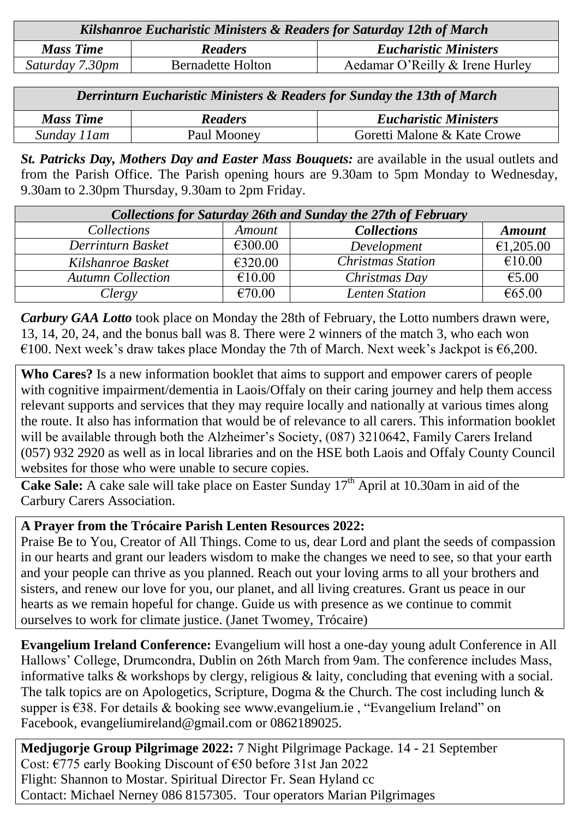| Kilshanroe Eucharistic Ministers & Readers for Saturday 12th of March |                          |                                 |  |  |
|-----------------------------------------------------------------------|--------------------------|---------------------------------|--|--|
| <b>Mass Time</b>                                                      | <b>Readers</b>           | <b>Eucharistic Ministers</b>    |  |  |
| Saturday 7.30pm                                                       | <b>Bernadette Holton</b> | Aedamar O'Reilly & Irene Hurley |  |  |

| <b>Derrinturn Eucharistic Ministers &amp; Readers for Sunday the 13th of March</b> |                |                              |  |  |
|------------------------------------------------------------------------------------|----------------|------------------------------|--|--|
| <b>Mass Time</b>                                                                   | <b>Readers</b> | <b>Eucharistic Ministers</b> |  |  |
| Sunday 11am                                                                        | Paul Mooney    | Goretti Malone & Kate Crowe  |  |  |

*St. Patricks Day, Mothers Day and Easter Mass Bouquets:* are available in the usual outlets and from the Parish Office. The Parish opening hours are 9.30am to 5pm Monday to Wednesday, 9.30am to 2.30pm Thursday, 9.30am to 2pm Friday.

| <b>Collections for Saturday 26th and Sunday the 27th of February</b> |               |                          |               |  |  |
|----------------------------------------------------------------------|---------------|--------------------------|---------------|--|--|
| <i>Collections</i>                                                   | <b>Amount</b> | <b>Collections</b>       | <b>Amount</b> |  |  |
| Derrinturn Basket                                                    | €300.00       | Development              | €1,205.00     |  |  |
| Kilshanroe Basket                                                    | €320.00       | <b>Christmas Station</b> | €10.00        |  |  |
| <b>Autumn Collection</b>                                             | €10.00        | Christmas Day            | €5.00         |  |  |
| Clergy                                                               | €70.00        | <b>Lenten Station</b>    | € $65.00$     |  |  |

*Carbury GAA Lotto* took place on Monday the 28th of February, the Lotto numbers drawn were, 13, 14, 20, 24, and the bonus ball was 8. There were 2 winners of the match 3, who each won €100. Next week's draw takes place Monday the 7th of March. Next week's Jackpot is  $€6,200$ .

**Who Cares?** Is a new information booklet that aims to support and empower carers of people with cognitive impairment/dementia in Laois/Offaly on their caring journey and help them access relevant supports and services that they may require locally and nationally at various times along the route. It also has information that would be of relevance to all carers. This information booklet will be available through both the Alzheimer's Society, (087) 3210642, Family Carers Ireland (057) 932 2920 as well as in local libraries and on the HSE both Laois and Offaly County Council websites for those who were unable to secure copies.

Cake Sale: A cake sale will take place on Easter Sunday 17<sup>th</sup> April at 10.30am in aid of the Carbury Carers Association.

#### **A Prayer from the Trócaire Parish Lenten Resources 2022:**

Praise Be to You, Creator of All Things. Come to us, dear Lord and plant the seeds of compassion in our hearts and grant our leaders wisdom to make the changes we need to see, so that your earth and your people can thrive as you planned. Reach out your loving arms to all your brothers and sisters, and renew our love for you, our planet, and all living creatures. Grant us peace in our hearts as we remain hopeful for change. Guide us with presence as we continue to commit ourselves to work for climate justice. (Janet Twomey, Trócaire)

**Evangelium Ireland Conference:** Evangelium will host a one-day young adult Conference in All Hallows' College, Drumcondra, Dublin on 26th March from 9am. The conference includes Mass, informative talks & workshops by clergy, religious & laity, concluding that evening with a social. The talk topics are on Apologetics, Scripture, Dogma & the Church. The cost including lunch & supper is €38. For details & booking see [www.evangelium.ie](http://www.evangelium.ie/) , "Evangelium Ireland" on Facebook, [evangeliumireland@gmail.com](mailto:evangeliumireland@gmail.com) or 0862189025.

**Medjugorje Group Pilgrimage 2022:** 7 Night Pilgrimage Package. 14 - 21 September Cost: €775 early Booking Discount of €50 before 31st Jan 2022 Flight: Shannon to Mostar. Spiritual Director Fr. Sean Hyland cc Contact: Michael Nerney 086 8157305. Tour operators Marian Pilgrimages